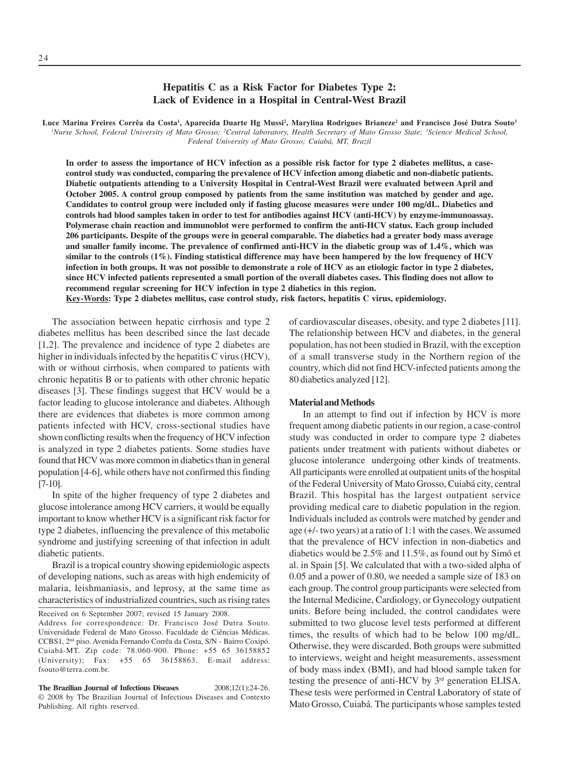# **Hepatitis C as a Risk Factor for Diabetes Type 2: Lack of Evidence in a Hospital in Central-West Brazil**

Luce Marina Freires Corrêa da Costa<sup>ı</sup>, Aparecida Duarte Hg Mussi<sup>2</sup>, Marylina Rodrigues Brianeze<sup>2</sup> and Francisco José Dutra Souto<sup>3</sup> *1 Nurse School, Federal University of Mato Grosso; 2 Central laboratory, Health Secretary of Mato Grosso State; 3 Science Medical School, Federal University of Mato Grosso; Cuiabá, MT, Brazil*

**In order to assess the importance of HCV infection as a possible risk factor for type 2 diabetes mellitus, a casecontrol study was conducted, comparing the prevalence of HCV infection among diabetic and non-diabetic patients. Diabetic outpatients attending to a University Hospital in Central-West Brazil were evaluated between April and October 2005. A control group composed by patients from the same institution was matched by gender and age. Candidates to control group were included only if fasting glucose measures were under 100 mg/dL. Diabetics and controls had blood samples taken in order to test for antibodies against HCV (anti-HCV) by enzyme-immunoassay. Polymerase chain reaction and immunoblot were performed to confirm the anti-HCV status. Each group included 206 participants. Despite of the groups were in general comparable. The diabetics had a greater body mass average and smaller family income. The prevalence of confirmed anti-HCV in the diabetic group was of 1.4%, which was similar to the controls (1%). Finding statistical difference may have been hampered by the low frequency of HCV infection in both groups. It was not possible to demonstrate a role of HCV as an etiologic factor in type 2 diabetes, since HCV infected patients represented a small portion of the overall diabetes cases. This finding does not allow to recommend regular screening for HCV infection in type 2 diabetics in this region.**

**Key-Words: Type 2 diabetes mellitus, case control study, risk factors, hepatitis C virus, epidemiology.**

The association between hepatic cirrhosis and type 2 diabetes mellitus has been described since the last decade [1,2]. The prevalence and incidence of type 2 diabetes are higher in individuals infected by the hepatitis C virus (HCV), with or without cirrhosis, when compared to patients with chronic hepatitis B or to patients with other chronic hepatic diseases [3]. These findings suggest that HCV would be a factor leading to glucose intolerance and diabetes. Although there are evidences that diabetes is more common among patients infected with HCV, cross-sectional studies have shown conflicting results when the frequency of HCV infection is analyzed in type 2 diabetes patients. Some studies have found that HCV was more common in diabetics than in general population [4-6], while others have not confirmed this finding [7-10].

In spite of the higher frequency of type 2 diabetes and glucose intolerance among HCV carriers, it would be equally important to know whether HCV is a significant risk factor for type 2 diabetes, influencing the prevalence of this metabolic syndrome and justifying screening of that infection in adult diabetic patients.

Brazil is a tropical country showing epidemiologic aspects of developing nations, such as areas with high endemicity of malaria, leishmaniasis, and leprosy, at the same time as characteristics of industrialized countries, such as rising rates

Received on 6 September 2007; revised 15 January 2008.

Address for correspondence: Dr. Francisco José Dutra Souto. Universidade Federal de Mato Grosso. Faculdade de Ciências Médicas. CCBS1, 2nd piso. Avenida Fernando Corrêa da Costa, S/N - Bairro Coxipó. Cuiabá-MT. Zip code: 78.060-900. Phone: +55 65 36158852 (University); Fax: +55 65 36158863. E-mail address: fsouto@terra.com.br.

**The Brazilian Journal of Infectious Diseases** 2008;12(1):24-26. © 2008 by The Brazilian Journal of Infectious Diseases and Contexto Publishing. All rights reserved.

of cardiovascular diseases, obesity, and type 2 diabetes [11]. The relationship between HCV and diabetes, in the general population, has not been studied in Brazil, with the exception of a small transverse study in the Northern region of the country, which did not find HCV-infected patients among the 80 diabetics analyzed [12].

### **Material and Methods**

In an attempt to find out if infection by HCV is more frequent among diabetic patients in our region, a case-control study was conducted in order to compare type 2 diabetes patients under treatment with patients without diabetes or glucose intolerance undergoing other kinds of treatments. All participants were enrolled at outpatient units of the hospital of the Federal University of Mato Grosso, Cuiabá city, central Brazil. This hospital has the largest outpatient service providing medical care to diabetic population in the region. Individuals included as controls were matched by gender and age (+/- two years) at a ratio of 1:1 with the cases. We assumed that the prevalence of HCV infection in non-diabetics and diabetics would be 2.5% and 11.5%, as found out by Simó et al. in Spain [5]. We calculated that with a two-sided alpha of 0.05 and a power of 0.80, we needed a sample size of 183 on each group. The control group participants were selected from the Internal Medicine, Cardiology, or Gynecology outpatient units. Before being included, the control candidates were submitted to two glucose level tests performed at different times, the results of which had to be below 100 mg/dL. Otherwise, they were discarded. Both groups were submitted to interviews, weight and height measurements, assessment of body mass index (BMI), and had blood sample taken for testing the presence of anti-HCV by 3rd generation ELISA. These tests were performed in Central Laboratory of state of Mato Grosso, Cuiabá. The participants whose samples tested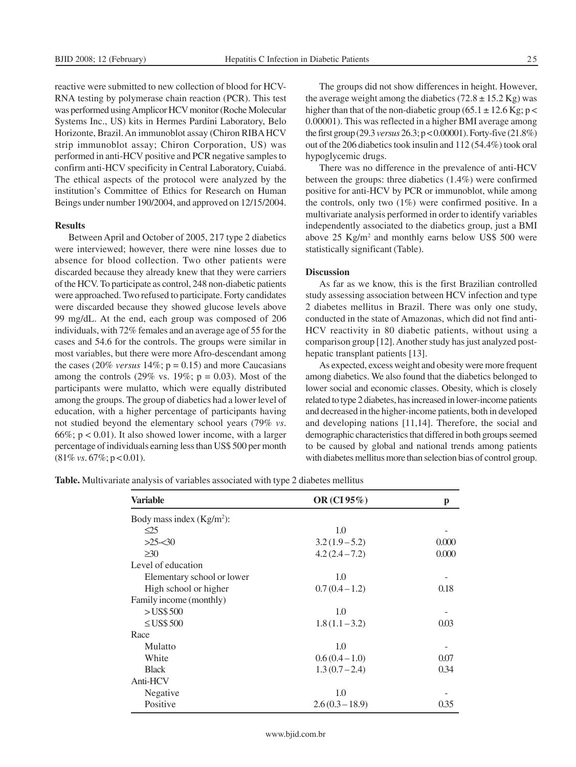reactive were submitted to new collection of blood for HCV-RNA testing by polymerase chain reaction (PCR). This test was performed using Amplicor HCV monitor (Roche Molecular Systems Inc., US) kits in Hermes Pardini Laboratory, Belo Horizonte, Brazil. An immunoblot assay (Chiron RIBA HCV strip immunoblot assay; Chiron Corporation, US) was performed in anti-HCV positive and PCR negative samples to confirm anti-HCV specificity in Central Laboratory, Cuiabá. The ethical aspects of the protocol were analyzed by the institution's Committee of Ethics for Research on Human Beings under number 190/2004, and approved on 12/15/2004.

#### **Results**

Between April and October of 2005, 217 type 2 diabetics were interviewed; however, there were nine losses due to absence for blood collection. Two other patients were discarded because they already knew that they were carriers of the HCV. To participate as control, 248 non-diabetic patients were approached. Two refused to participate. Forty candidates were discarded because they showed glucose levels above 99 mg/dL. At the end, each group was composed of 206 individuals, with 72% females and an average age of 55 for the cases and 54.6 for the controls. The groups were similar in most variables, but there were more Afro-descendant among the cases (20% *versus*  $14\%$ ;  $p = 0.15$ ) and more Caucasians among the controls (29% vs. 19%;  $p = 0.03$ ). Most of the participants were mulatto, which were equally distributed among the groups. The group of diabetics had a lower level of education, with a higher percentage of participants having not studied beyond the elementary school years (79% *vs*. 66%;  $p < 0.01$ ). It also showed lower income, with a larger percentage of individuals earning less than US\$ 500 per month (81% *vs*. 67%; p < 0.01).

The groups did not show differences in height. However, the average weight among the diabetics  $(72.8 \pm 15.2 \text{ kg})$  was higher than that of the non-diabetic group (65.1  $\pm$  12.6 Kg; p < 0.00001). This was reflected in a higher BMI average among the first group (29.3 *versus* 26.3; p < 0.00001). Forty-five (21.8%) out of the 206 diabetics took insulin and 112 (54.4%) took oral hypoglycemic drugs.

There was no difference in the prevalence of anti-HCV between the groups: three diabetics (1.4%) were confirmed positive for anti-HCV by PCR or immunoblot, while among the controls, only two (1%) were confirmed positive. In a multivariate analysis performed in order to identify variables independently associated to the diabetics group, just a BMI above  $25$  Kg/m<sup>2</sup> and monthly earns below US\$ 500 were statistically significant (Table).

# **Discussion**

As far as we know, this is the first Brazilian controlled study assessing association between HCV infection and type 2 diabetes mellitus in Brazil. There was only one study, conducted in the state of Amazonas, which did not find anti-HCV reactivity in 80 diabetic patients, without using a comparison group [12]. Another study has just analyzed posthepatic transplant patients [13].

As expected, excess weight and obesity were more frequent among diabetics. We also found that the diabetics belonged to lower social and economic classes. Obesity, which is closely related to type 2 diabetes, has increased in lower-income patients and decreased in the higher-income patients, both in developed and developing nations [11,14]. Therefore, the social and demographic characteristics that differed in both groups seemed to be caused by global and national trends among patients with diabetes mellitus more than selection bias of control group.

**Table.** Multivariate analysis of variables associated with type 2 diabetes mellitus

| <b>Variable</b>              | OR $(CI 95\%)$   | p     |
|------------------------------|------------------|-------|
| Body mass index $(Kg/m^2)$ : |                  |       |
| $\leq$ 25                    | 1.0              |       |
| $>25-30$                     | $3.2(1.9-5.2)$   | 0.000 |
| $\geq 30$                    | $4.2(2.4 - 7.2)$ | 0.000 |
| Level of education           |                  |       |
| Elementary school or lower   | 1.0              |       |
| High school or higher        | $0.7(0.4-1.2)$   | 0.18  |
| Family income (monthly)      |                  |       |
| $>$ US\$ 500                 | 1.0              |       |
| $\leq$ US\$ 500              | $1.8(1.1-3.2)$   | 0.03  |
| Race                         |                  |       |
| Mulatto                      | 1.0              |       |
| White                        | $0.6(0.4-1.0)$   | 0.07  |
| <b>Black</b>                 | $1.3(0.7 - 2.4)$ | 0.34  |
| Anti-HCV                     |                  |       |
| Negative                     | 1.0              |       |
| Positive                     | $2.6(0.3-18.9)$  | 0.35  |